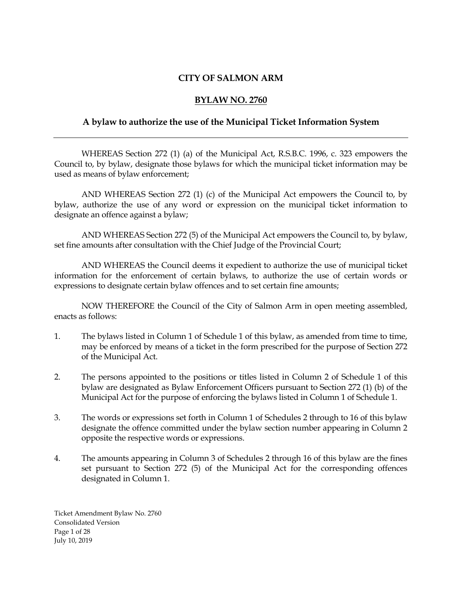#### **CITY OF SALMON ARM**

#### **BYLAW NO. 2760**

#### **A bylaw to authorize the use of the Municipal Ticket Information System**

WHEREAS Section 272 (1) (a) of the Municipal Act, R.S.B.C. 1996, c. 323 empowers the Council to, by bylaw, designate those bylaws for which the municipal ticket information may be used as means of bylaw enforcement;

AND WHEREAS Section 272 (1) (c) of the Municipal Act empowers the Council to, by bylaw, authorize the use of any word or expression on the municipal ticket information to designate an offence against a bylaw;

AND WHEREAS Section 272 (5) of the Municipal Act empowers the Council to, by bylaw, set fine amounts after consultation with the Chief Judge of the Provincial Court;

AND WHEREAS the Council deems it expedient to authorize the use of municipal ticket information for the enforcement of certain bylaws, to authorize the use of certain words or expressions to designate certain bylaw offences and to set certain fine amounts;

NOW THEREFORE the Council of the City of Salmon Arm in open meeting assembled, enacts as follows:

- 1. The bylaws listed in Column 1 of Schedule 1 of this bylaw, as amended from time to time, may be enforced by means of a ticket in the form prescribed for the purpose of Section 272 of the Municipal Act.
- 2. The persons appointed to the positions or titles listed in Column 2 of Schedule 1 of this bylaw are designated as Bylaw Enforcement Officers pursuant to Section 272 (1) (b) of the Municipal Act for the purpose of enforcing the bylaws listed in Column 1 of Schedule 1.
- 3. The words or expressions set forth in Column 1 of Schedules 2 through to 16 of this bylaw designate the offence committed under the bylaw section number appearing in Column 2 opposite the respective words or expressions.
- 4. The amounts appearing in Column 3 of Schedules 2 through 16 of this bylaw are the fines set pursuant to Section 272 (5) of the Municipal Act for the corresponding offences designated in Column 1.

Ticket Amendment Bylaw No. 2760 Consolidated Version Page 1 of 28 July 10, 2019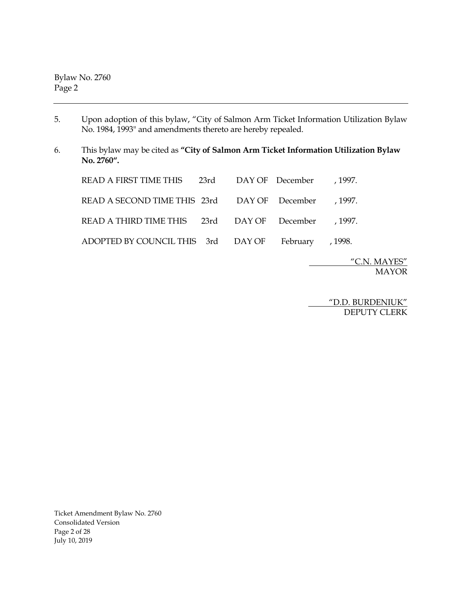Bylaw No. 2760 Page 2

- 5. Upon adoption of this bylaw, "City of Salmon Arm Ticket Information Utilization Bylaw No. 1984, 1993" and amendments thereto are hereby repealed.
- 6. This bylaw may be cited as **"City of Salmon Arm Ticket Information Utilization Bylaw No. 2760".**

| READ A FIRST TIME THIS 23rd DAY OF December , 1997.  |  |  |
|------------------------------------------------------|--|--|
| READ A SECOND TIME THIS 23rd DAY OF December , 1997. |  |  |
| READ A THIRD TIME THIS 23rd DAY OF December , 1997.  |  |  |
| ADOPTED BY COUNCIL THIS 3rd DAY OF February , 1998.  |  |  |

 "C.N. MAYES" MAYOR

 "D.D. BURDENIUK" DEPUTY CLERK

Ticket Amendment Bylaw No. 2760 Consolidated Version Page 2 of 28 July 10, 2019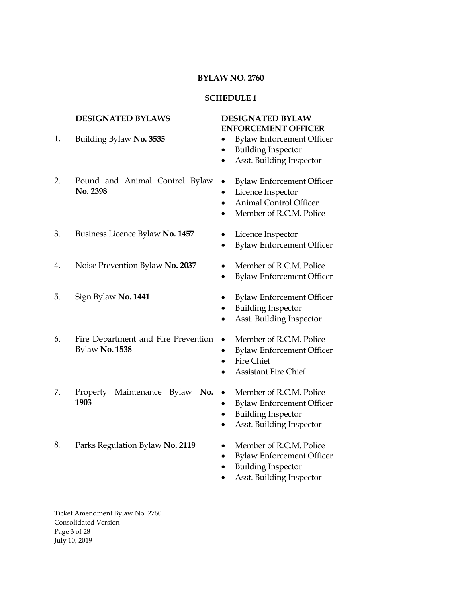#### **SCHEDULE 1**

# **DESIGNATED BYLAWS DESIGNATED BYLAW**

- **ENFORCEMENT OFFICER** 1. Building Bylaw **No. 3535** • Bylaw Enforcement Officer • Building Inspector • Asst. Building Inspector 2. Pound and Animal Control Bylaw **No. 2398** • Bylaw Enforcement Officer Licence Inspector • Animal Control Officer • Member of R.C.M. Police 3. Business Licence Bylaw **No. 1457** • Licence Inspector • Bylaw Enforcement Officer 4. Noise Prevention Bylaw **No. 2037** • Member of R.C.M. Police • Bylaw Enforcement Officer 5. Sign Bylaw **No. 1441** • Bylaw Enforcement Officer • Building Inspector • Asst. Building Inspector 6. Fire Department and Fire Prevention Bylaw **No. 1538** Member of R.C.M. Police • Bylaw Enforcement Officer Fire Chief • Assistant Fire Chief 7. Property Maintenance Bylaw **No. 1903** Member of R.C.M. Police • Bylaw Enforcement Officer • Building Inspector • Asst. Building Inspector 8. Parks Regulation Bylaw **No. 2119** • Member of R.C.M. Police
	- Bylaw Enforcement Officer
	- Building Inspector
	- Asst. Building Inspector

Ticket Amendment Bylaw No. 2760 Consolidated Version Page 3 of 28 July 10, 2019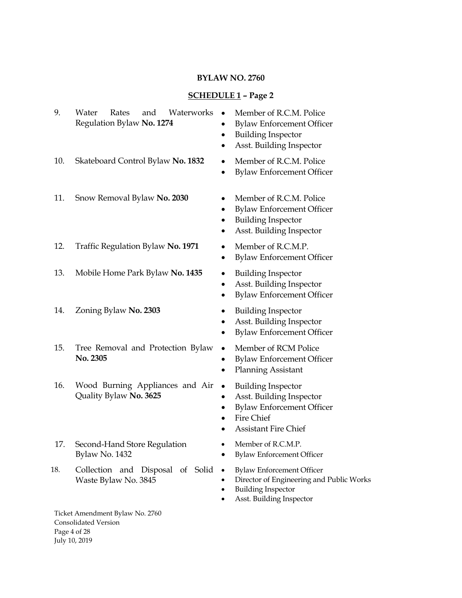# **SCHEDULE 1 – Page 2**

| 9.  | and<br>Waterworks<br>Water<br>Rates<br>Regulation Bylaw No. 1274 | Member of R.C.M. Police<br>$\bullet$<br><b>Bylaw Enforcement Officer</b><br><b>Building Inspector</b><br>$\bullet$<br>Asst. Building Inspector                  |
|-----|------------------------------------------------------------------|-----------------------------------------------------------------------------------------------------------------------------------------------------------------|
| 10. | Skateboard Control Bylaw No. 1832                                | Member of R.C.M. Police<br>٠<br><b>Bylaw Enforcement Officer</b><br>$\bullet$                                                                                   |
| 11. | Snow Removal Bylaw No. 2030                                      | Member of R.C.M. Police<br>٠<br><b>Bylaw Enforcement Officer</b><br>$\bullet$<br><b>Building Inspector</b><br>$\bullet$<br>Asst. Building Inspector             |
| 12. | Traffic Regulation Bylaw No. 1971                                | Member of R.C.M.P.<br>$\bullet$<br><b>Bylaw Enforcement Officer</b><br>٠                                                                                        |
| 13. | Mobile Home Park Bylaw No. 1435                                  | <b>Building Inspector</b><br>٠<br>Asst. Building Inspector<br>٠<br><b>Bylaw Enforcement Officer</b><br>$\bullet$                                                |
| 14. | Zoning Bylaw No. 2303                                            | <b>Building Inspector</b><br>٠<br>Asst. Building Inspector<br><b>Bylaw Enforcement Officer</b><br>٠                                                             |
| 15. | Tree Removal and Protection Bylaw<br>No. 2305                    | Member of RCM Police<br>$\bullet$<br><b>Bylaw Enforcement Officer</b><br>٠<br><b>Planning Assistant</b><br>٠                                                    |
| 16. | Wood Burning Appliances and Air<br>Quality Bylaw No. 3625        | <b>Building Inspector</b><br>$\bullet$<br>Asst. Building Inspector<br>٠<br><b>Bylaw Enforcement Officer</b><br><b>Fire Chief</b><br><b>Assistant Fire Chief</b> |
| 17. | Second-Hand Store Regulation<br>Bylaw No. 1432                   | Member of R.C.M.P.<br>$\bullet$<br><b>Bylaw Enforcement Officer</b>                                                                                             |
| 18. | Collection and Disposal of Solid<br>Waste Bylaw No. 3845         | <b>Bylaw Enforcement Officer</b><br>$\bullet$<br>Director of Engineering and Public Works<br><b>Building Inspector</b><br>Asst. Building Inspector              |
|     | Ticket Amendment Bylaw No. 2760<br>Consolidated Version          |                                                                                                                                                                 |

Consolidated Version Page 4 of 28 July 10, 2019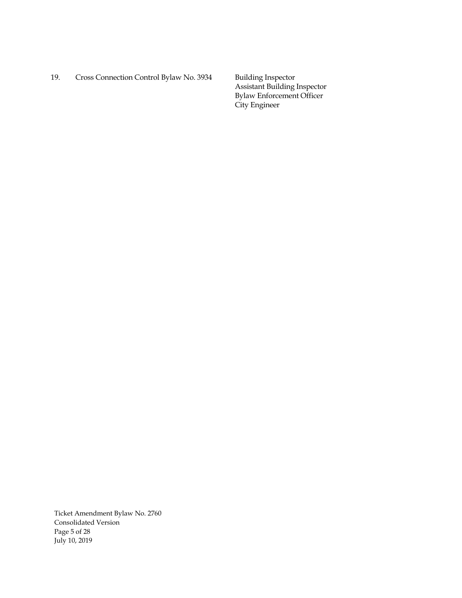19. Cross Connection Control Bylaw No. 3934 Building Inspector

Assistant Building Inspector Bylaw Enforcement Officer City Engineer

Ticket Amendment Bylaw No. 2760 Consolidated Version Page 5 of 28 July 10, 2019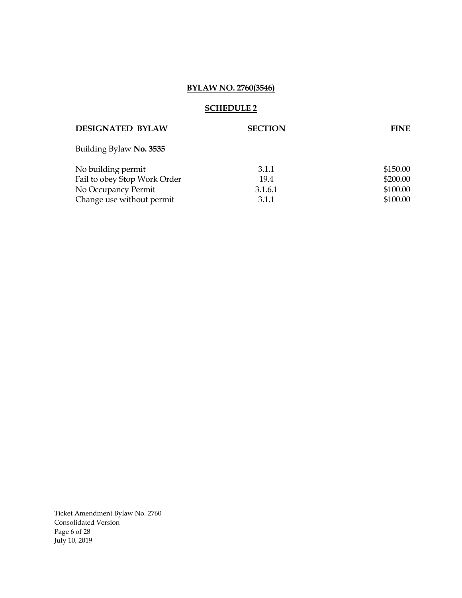# **BYLAW NO. 2760(3546)**

#### **SCHEDULE 2**

| <b>DESIGNATED BYLAW</b>      | <b>SECTION</b> | <b>FINE</b> |
|------------------------------|----------------|-------------|
| Building Bylaw No. 3535      |                |             |
| No building permit           | 3.1.1          | \$150.00    |
| Fail to obey Stop Work Order | 19.4           | \$200.00    |
| No Occupancy Permit          | 3.1.6.1        | \$100.00    |
| Change use without permit    | 3.1.1          | \$100.00    |
|                              |                |             |

Ticket Amendment Bylaw No. 2760 Consolidated Version Page 6 of 28 July 10, 2019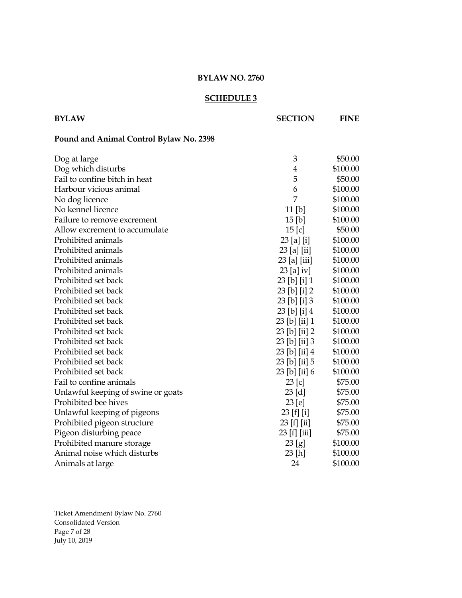#### **SCHEDULE 3**

| <b>BYLAW</b>                            | <b>SECTION</b>   | <b>FINE</b> |
|-----------------------------------------|------------------|-------------|
| Pound and Animal Control Bylaw No. 2398 |                  |             |
| Dog at large                            | 3                | \$50.00     |
| Dog which disturbs                      | 4                | \$100.00    |
| Fail to confine bitch in heat           | 5                | \$50.00     |
| Harbour vicious animal                  | 6                | \$100.00    |
| No dog licence                          | 7                | \$100.00    |
| No kennel licence                       | $11$ [b]         | \$100.00    |
| Failure to remove excrement             | 15 [b]           | \$100.00    |
| Allow excrement to accumulate           | $15$ [c]         | \$50.00     |
| Prohibited animals                      | 23 [a] [i]       | \$100.00    |
| Prohibited animals                      | $23$ [a] [ii]    | \$100.00    |
| Prohibited animals                      | $23$ [a] [iii]   | \$100.00    |
| Prohibited animals                      | $23$ [a] iv]     | \$100.00    |
| Prohibited set back                     | $23$ [b] [i] 1   | \$100.00    |
| Prohibited set back                     | $23$ [b] [i] $2$ | \$100.00    |
| Prohibited set back                     | 23 [b] [i] 3     | \$100.00    |

Prohibited set back 23 [b] [i] 4 \$100.00 Prohibited set back 23 [b] [ii] 1 \$100.00 Prohibited set back 23 [b] [ii] 2 \$100.00 Prohibited set back 23 [b] [ii] 3 \$100.00 Prohibited set back 23 [b] [ii] 4 \$100.00 Prohibited set back 23 [b] [ii] 5 \$100.00 Prohibited set back 23 [b] [ii] 6 \$100.00 Fail to confine animals 23 [c] \$75.00 Unlawful keeping of swine or goats 23 [d] \$75.00 Prohibited bee hives 23 [e] \$75.00 Unlawful keeping of pigeons 23 [f] [i] \$75.00 Prohibited pigeon structure 23 [f] [ii] \$75.00 Pigeon disturbing peace 23 [f] [iii] \$75.00 Prohibited manure storage 23 [g] \$100.00 Animal noise which disturbs 23 [h] \$100.00 Animals at large 24 \$100.00

Ticket Amendment Bylaw No. 2760 Consolidated Version Page 7 of 28 July 10, 2019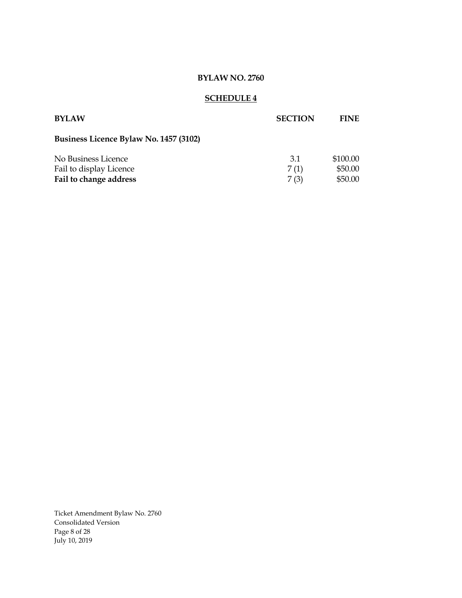# **SCHEDULE 4**

| <b>BYLAW</b>                           | <b>SECTION</b> | <b>FINE</b> |
|----------------------------------------|----------------|-------------|
| Business Licence Bylaw No. 1457 (3102) |                |             |
| No Business Licence                    | 3.1            | \$100.00    |
| Fail to display Licence                | 7(1)           | \$50.00     |
| Fail to change address                 | 7(3)           | \$50.00     |

Ticket Amendment Bylaw No. 2760 Consolidated Version Page 8 of 28 July 10, 2019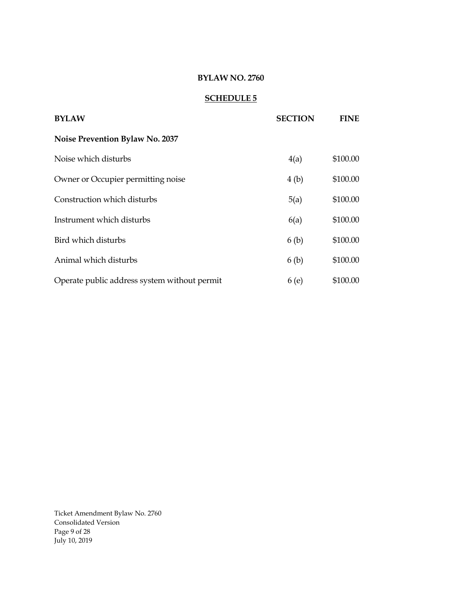# **SCHEDULE 5**

| <b>BYLAW</b>                                 | <b>SECTION</b> | <b>FINE</b> |
|----------------------------------------------|----------------|-------------|
| <b>Noise Prevention Bylaw No. 2037</b>       |                |             |
| Noise which disturbs                         | 4(a)           | \$100.00    |
| Owner or Occupier permitting noise           | 4(b)           | \$100.00    |
| Construction which disturbs                  | 5(a)           | \$100.00    |
| Instrument which disturbs                    | 6(a)           | \$100.00    |
| Bird which disturbs                          | 6(b)           | \$100.00    |
| Animal which disturbs                        | 6(b)           | \$100.00    |
| Operate public address system without permit | 6(e)           | \$100.00    |

Ticket Amendment Bylaw No. 2760 Consolidated Version Page 9 of 28 July 10, 2019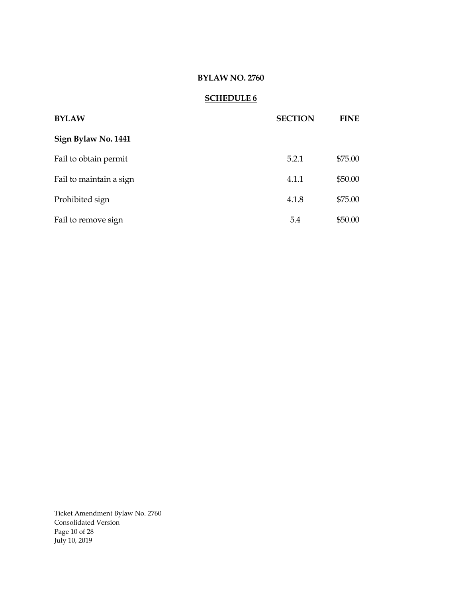# **SCHEDULE 6**

| <b>BYLAW</b>            | <b>SECTION</b> | <b>FINE</b> |
|-------------------------|----------------|-------------|
| Sign Bylaw No. 1441     |                |             |
| Fail to obtain permit   | 5.2.1          | \$75.00     |
| Fail to maintain a sign | 4.1.1          | \$50.00     |
| Prohibited sign         | 4.1.8          | \$75.00     |
| Fail to remove sign     | 5.4            | \$50.00     |

Ticket Amendment Bylaw No. 2760 Consolidated Version Page 10 of 28 July 10, 2019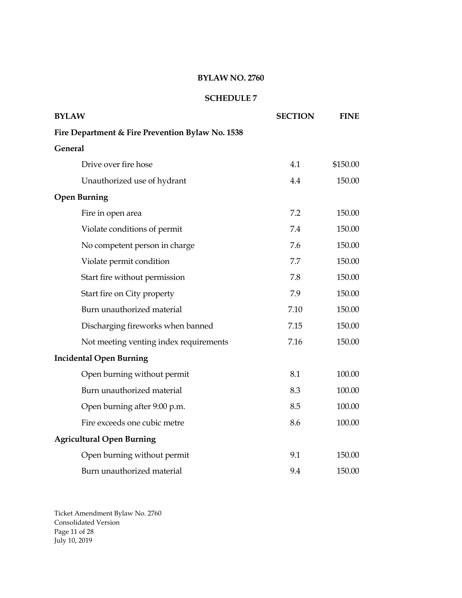# **SCHEDULE 7**

| <b>BYLAW</b>                                     | <b>SECTION</b> | <b>FINE</b> |
|--------------------------------------------------|----------------|-------------|
| Fire Department & Fire Prevention Bylaw No. 1538 |                |             |
| General                                          |                |             |
| Drive over fire hose                             | 4.1            | \$150.00    |
| Unauthorized use of hydrant                      | 4.4            | 150.00      |
| <b>Open Burning</b>                              |                |             |
| Fire in open area                                | 7.2            | 150.00      |
| Violate conditions of permit                     | 7.4            | 150.00      |
| No competent person in charge                    | 7.6            | 150.00      |
| Violate permit condition                         | 7.7            | 150.00      |
| Start fire without permission                    | 7.8            | 150.00      |
| Start fire on City property                      | 7.9            | 150.00      |
| Burn unauthorized material                       | 7.10           | 150.00      |
| Discharging fireworks when banned                | 7.15           | 150.00      |
| Not meeting venting index requirements           | 7.16           | 150.00      |
| <b>Incidental Open Burning</b>                   |                |             |
| Open burning without permit                      | 8.1            | 100.00      |
| Burn unauthorized material                       | 8.3            | 100.00      |
| Open burning after 9:00 p.m.                     | 8.5            | 100.00      |
| Fire exceeds one cubic metre                     | 8.6            | 100.00      |
| <b>Agricultural Open Burning</b>                 |                |             |
| Open burning without permit                      | 9.1            | 150.00      |
| Burn unauthorized material                       | 9.4            | 150.00      |

Ticket Amendment Bylaw No. 2760 Consolidated Version Page 11 of 28 July 10, 2019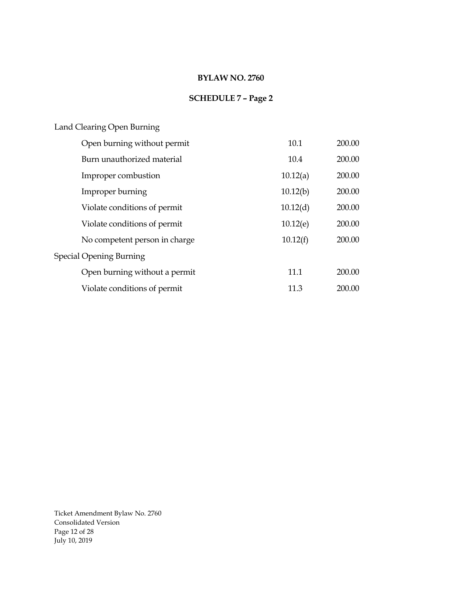# **SCHEDULE 7 – Page 2**

# Land Clearing Open Burning

| Open burning without permit   | 10.1     | 200.00 |
|-------------------------------|----------|--------|
| Burn unauthorized material    | 10.4     | 200.00 |
| Improper combustion           | 10.12(a) | 200.00 |
| Improper burning              | 10.12(b) | 200.00 |
| Violate conditions of permit  | 10.12(d) | 200.00 |
| Violate conditions of permit  | 10.12(e) | 200.00 |
| No competent person in charge | 10.12(f) | 200.00 |
| Special Opening Burning       |          |        |
| Open burning without a permit | 11.1     | 200.00 |
| Violate conditions of permit  | 11.3     | 200.00 |

Ticket Amendment Bylaw No. 2760 Consolidated Version Page 12 of 28 July 10, 2019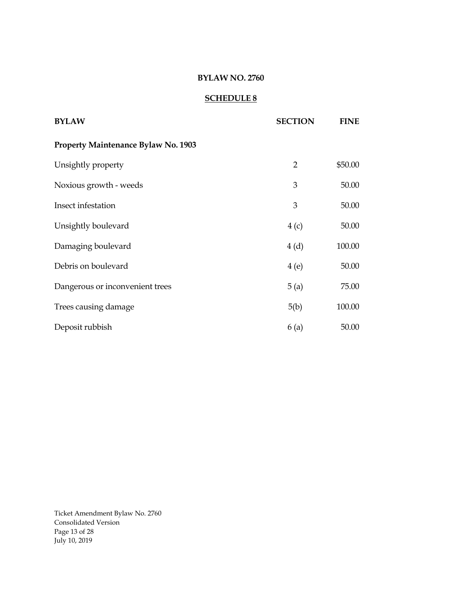# **SCHEDULE 8**

| <b>BYLAW</b>                        | <b>SECTION</b> | <b>FINE</b> |
|-------------------------------------|----------------|-------------|
| Property Maintenance Bylaw No. 1903 |                |             |
| Unsightly property                  | $\overline{2}$ | \$50.00     |
| Noxious growth - weeds              | 3              | 50.00       |
| Insect infestation                  | 3              | 50.00       |
| Unsightly boulevard                 | 4(c)           | 50.00       |
| Damaging boulevard                  | 4(d)           | 100.00      |
| Debris on boulevard                 | 4(e)           | 50.00       |
| Dangerous or inconvenient trees     | 5(a)           | 75.00       |
| Trees causing damage                | 5(b)           | 100.00      |
| Deposit rubbish                     | 6(a)           | 50.00       |

Ticket Amendment Bylaw No. 2760 Consolidated Version Page 13 of 28 July 10, 2019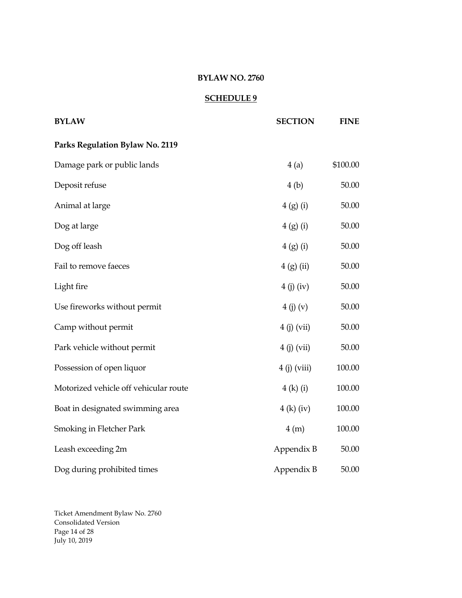# **SCHEDULE 9**

| <b>BYLAW</b>                          | <b>SECTION</b> | <b>FINE</b> |
|---------------------------------------|----------------|-------------|
| Parks Regulation Bylaw No. 2119       |                |             |
| Damage park or public lands           | 4(a)           | \$100.00    |
| Deposit refuse                        | 4(b)           | 50.00       |
| Animal at large                       | 4(g)(i)        | 50.00       |
| Dog at large                          | 4(g)(i)        | 50.00       |
| Dog off leash                         | 4(g)(i)        | 50.00       |
| Fail to remove faeces                 | 4(g)(ii)       | 50.00       |
| Light fire                            | 4(j)(iv)       | 50.00       |
| Use fireworks without permit          | 4(j)(v)        | 50.00       |
| Camp without permit                   | $4(j)$ (vii)   | 50.00       |
| Park vehicle without permit           | $4(j)$ (vii)   | 50.00       |
| Possession of open liquor             | $4(j)$ (viii)  | 100.00      |
| Motorized vehicle off vehicular route | 4 (k) (i)      | 100.00      |
| Boat in designated swimming area      | $4(k)$ (iv)    | 100.00      |
| Smoking in Fletcher Park              | 4(m)           | 100.00      |
| Leash exceeding 2m                    | Appendix B     | 50.00       |
| Dog during prohibited times           | Appendix B     | 50.00       |

Ticket Amendment Bylaw No. 2760 Consolidated Version Page 14 of 28 July 10, 2019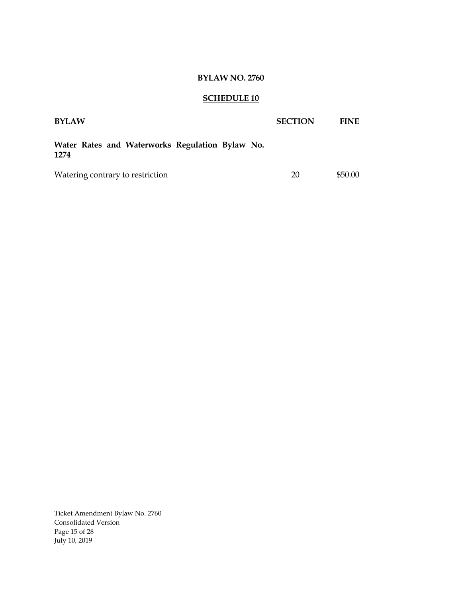# **SCHEDULE 10**

| <b>BYLAW</b>                                            | <b>SECTION</b> | <b>FINE</b> |
|---------------------------------------------------------|----------------|-------------|
| Water Rates and Waterworks Regulation Bylaw No.<br>1274 |                |             |
| Watering contrary to restriction                        | 20             | \$50.00     |

Ticket Amendment Bylaw No. 2760 Consolidated Version Page 15 of 28 July 10, 2019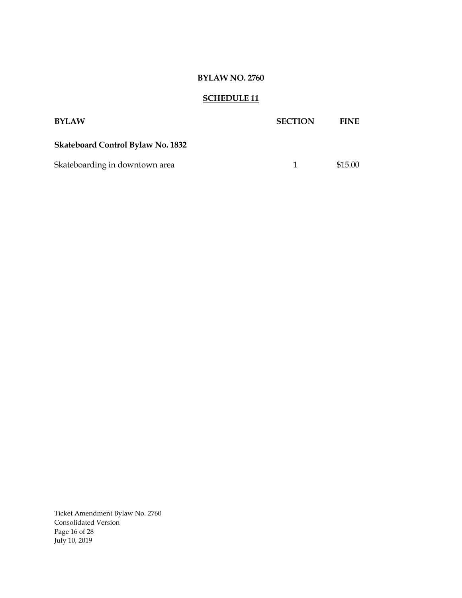# **SCHEDULE 11**

| <b>BYLAW</b>                             | <b>SECTION</b> | <b>FINE</b> |
|------------------------------------------|----------------|-------------|
| <b>Skateboard Control Bylaw No. 1832</b> |                |             |
| Skateboarding in downtown area           | $\mathbf{1}$   | \$15.00     |

Ticket Amendment Bylaw No. 2760 Consolidated Version Page 16 of 28 July 10, 2019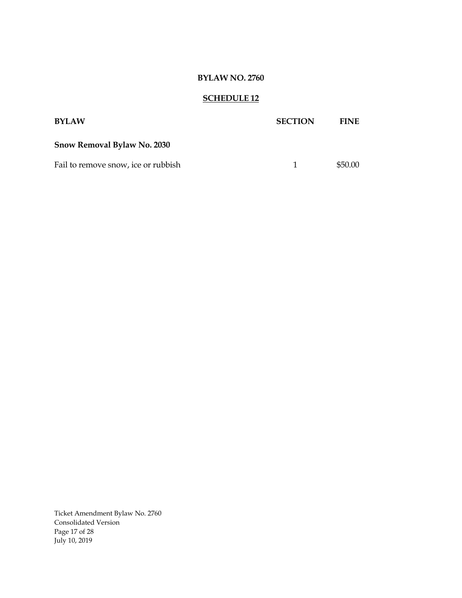# **SCHEDULE 12**

| <b>BYLAW</b>                        | <b>SECTION</b> | <b>FINE</b> |
|-------------------------------------|----------------|-------------|
| <b>Snow Removal Bylaw No. 2030</b>  |                |             |
| Fail to remove snow, ice or rubbish | 1.             | \$50.00     |

Ticket Amendment Bylaw No. 2760 Consolidated Version Page 17 of 28 July 10, 2019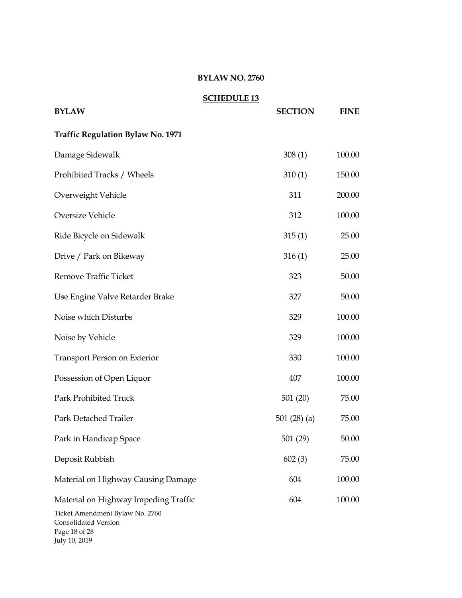|                                                                                                                                   | <b>SCHEDULE 13</b> |                |             |
|-----------------------------------------------------------------------------------------------------------------------------------|--------------------|----------------|-------------|
| <b>BYLAW</b>                                                                                                                      |                    | <b>SECTION</b> | <b>FINE</b> |
| <b>Traffic Regulation Bylaw No. 1971</b>                                                                                          |                    |                |             |
| Damage Sidewalk                                                                                                                   |                    | 308(1)         | 100.00      |
| Prohibited Tracks / Wheels                                                                                                        |                    | 310(1)         | 150.00      |
| Overweight Vehicle                                                                                                                |                    | 311            | 200.00      |
| Oversize Vehicle                                                                                                                  |                    | 312            | 100.00      |
| Ride Bicycle on Sidewalk                                                                                                          |                    | 315(1)         | 25.00       |
| Drive / Park on Bikeway                                                                                                           |                    | 316(1)         | 25.00       |
| <b>Remove Traffic Ticket</b>                                                                                                      |                    | 323            | 50.00       |
| Use Engine Valve Retarder Brake                                                                                                   |                    | 327            | 50.00       |
| Noise which Disturbs                                                                                                              |                    | 329            | 100.00      |
| Noise by Vehicle                                                                                                                  |                    | 329            | 100.00      |
| <b>Transport Person on Exterior</b>                                                                                               |                    | 330            | 100.00      |
| Possession of Open Liquor                                                                                                         |                    | 407            | 100.00      |
| Park Prohibited Truck                                                                                                             |                    | 501(20)        | 75.00       |
| Park Detached Trailer                                                                                                             |                    | 501 $(28)(a)$  | 75.00       |
| Park in Handicap Space                                                                                                            |                    | 501(29)        | 50.00       |
| Deposit Rubbish                                                                                                                   |                    | 602(3)         | 75.00       |
| Material on Highway Causing Damage                                                                                                |                    | 604            | 100.00      |
| Material on Highway Impeding Traffic<br>Ticket Amendment Bylaw No. 2760<br>Consolidated Version<br>Page 18 of 28<br>July 10, 2019 |                    | 604            | 100.00      |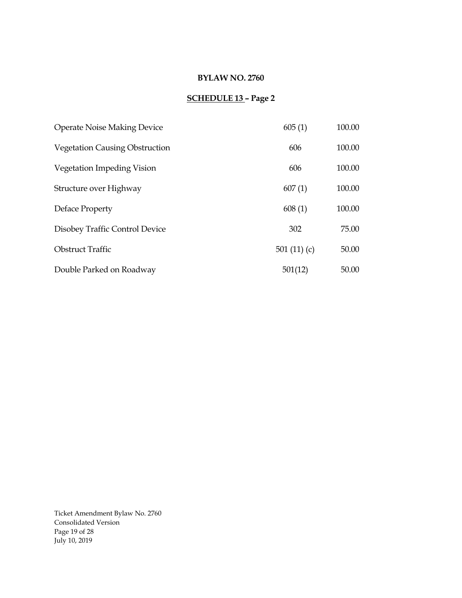# **SCHEDULE 13 – Page 2**

| <b>Operate Noise Making Device</b>    | 605(1)        | 100.00 |
|---------------------------------------|---------------|--------|
| <b>Vegetation Causing Obstruction</b> | 606           | 100.00 |
| Vegetation Impeding Vision            | 606           | 100.00 |
| Structure over Highway                | 607(1)        | 100.00 |
| Deface Property                       | 608(1)        | 100.00 |
| Disobey Traffic Control Device        | 302           | 75.00  |
| <b>Obstruct Traffic</b>               | 501 $(11)(c)$ | 50.00  |
| Double Parked on Roadway              | 501(12)       | 50.00  |

Ticket Amendment Bylaw No. 2760 Consolidated Version Page 19 of 28 July 10, 2019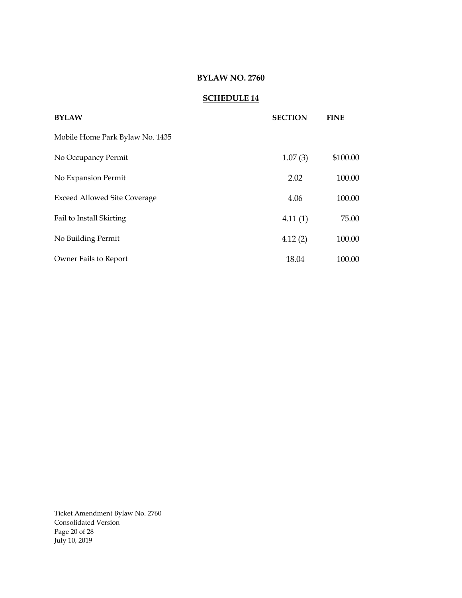# **SCHEDULE 14**

| <b>BYLAW</b>                        | <b>SECTION</b> | <b>FINE</b> |
|-------------------------------------|----------------|-------------|
| Mobile Home Park Bylaw No. 1435     |                |             |
| No Occupancy Permit                 | 1.07(3)        | \$100.00    |
| No Expansion Permit                 | 2.02           | 100.00      |
| <b>Exceed Allowed Site Coverage</b> | 4.06           | 100.00      |
| Fail to Install Skirting            | 4.11(1)        | 75.00       |
| No Building Permit                  | 4.12(2)        | 100.00      |
| Owner Fails to Report               | 18.04          | 100.00      |

Ticket Amendment Bylaw No. 2760 Consolidated Version Page 20 of 28 July 10, 2019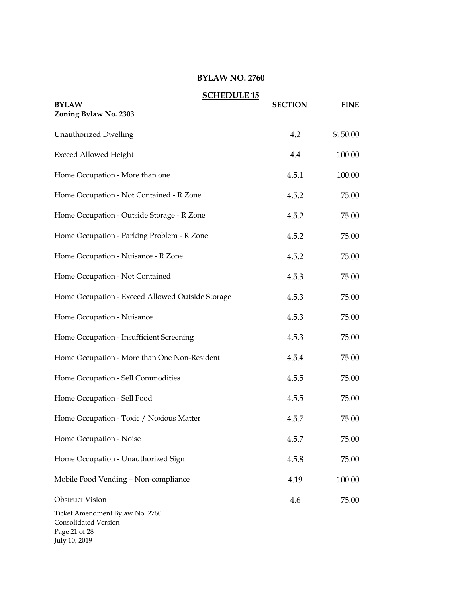|                                                                                           | <b>SCHEDULE 15</b> |                |             |
|-------------------------------------------------------------------------------------------|--------------------|----------------|-------------|
| <b>BYLAW</b><br>Zoning Bylaw No. 2303                                                     |                    | <b>SECTION</b> | <b>FINE</b> |
| <b>Unauthorized Dwelling</b>                                                              |                    | 4.2            | \$150.00    |
| <b>Exceed Allowed Height</b>                                                              |                    | 4.4            | 100.00      |
| Home Occupation - More than one                                                           |                    | 4.5.1          | 100.00      |
| Home Occupation - Not Contained - R Zone                                                  |                    | 4.5.2          | 75.00       |
| Home Occupation - Outside Storage - R Zone                                                |                    | 4.5.2          | 75.00       |
| Home Occupation - Parking Problem - R Zone                                                |                    | 4.5.2          | 75.00       |
| Home Occupation - Nuisance - R Zone                                                       |                    | 4.5.2          | 75.00       |
| Home Occupation - Not Contained                                                           |                    | 4.5.3          | 75.00       |
| Home Occupation - Exceed Allowed Outside Storage                                          |                    | 4.5.3          | 75.00       |
| Home Occupation - Nuisance                                                                |                    | 4.5.3          | 75.00       |
| Home Occupation - Insufficient Screening                                                  |                    | 4.5.3          | 75.00       |
| Home Occupation - More than One Non-Resident                                              |                    | 4.5.4          | 75.00       |
| Home Occupation - Sell Commodities                                                        |                    | 4.5.5          | 75.00       |
| Home Occupation - Sell Food                                                               |                    | 4.5.5          | 75.00       |
| Home Occupation - Toxic / Noxious Matter                                                  |                    | 4.5.7          | 75.00       |
| Home Occupation - Noise                                                                   |                    | 4.5.7          | 75.00       |
| Home Occupation - Unauthorized Sign                                                       |                    | 4.5.8          | 75.00       |
| Mobile Food Vending - Non-compliance                                                      |                    | 4.19           | 100.00      |
| <b>Obstruct Vision</b>                                                                    |                    | 4.6            | 75.00       |
| Ticket Amendment Bylaw No. 2760<br>Consolidated Version<br>Page 21 of 28<br>July 10, 2019 |                    |                |             |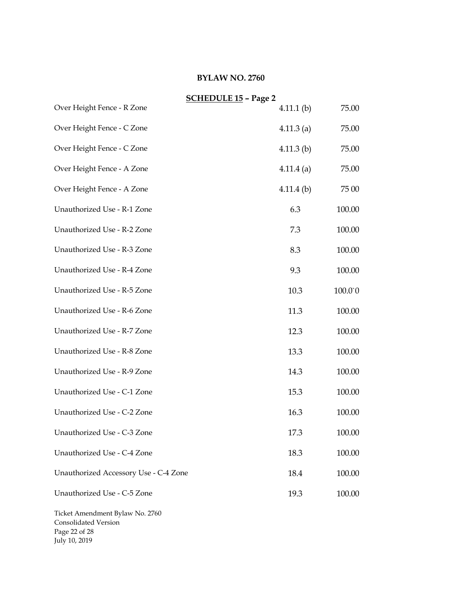|                                                         | <b>SCHEDULE 15 - Page 2</b> |         |
|---------------------------------------------------------|-----------------------------|---------|
| Over Height Fence - R Zone                              | $4.11.1$ (b)                | 75.00   |
| Over Height Fence - C Zone                              | $4.11.3$ (a)                | 75.00   |
| Over Height Fence - C Zone                              | $4.11.3$ (b)                | 75.00   |
| Over Height Fence - A Zone                              | $4.11.4$ (a)                | 75.00   |
| Over Height Fence - A Zone                              | $4.11.4$ (b)                | 75 00   |
| Unauthorized Use - R-1 Zone                             | 6.3                         | 100.00  |
| Unauthorized Use - R-2 Zone                             | 7.3                         | 100.00  |
| Unauthorized Use - R-3 Zone                             | 8.3                         | 100.00  |
| Unauthorized Use - R-4 Zone                             | 9.3                         | 100.00  |
| Unauthorized Use - R-5 Zone                             | 10.3                        | 100.0°0 |
| Unauthorized Use - R-6 Zone                             | 11.3                        | 100.00  |
| Unauthorized Use - R-7 Zone                             | 12.3                        | 100.00  |
| Unauthorized Use - R-8 Zone                             | 13.3                        | 100.00  |
| Unauthorized Use - R-9 Zone                             | 14.3                        | 100.00  |
| Unauthorized Use - C-1 Zone                             | 15.3                        | 100.00  |
| Unauthorized Use - C-2 Zone                             | 16.3                        | 100.00  |
| Unauthorized Use - C-3 Zone                             | 17.3                        | 100.00  |
| Unauthorized Use - C-4 Zone                             | 18.3                        | 100.00  |
| Unauthorized Accessory Use - C-4 Zone                   | 18.4                        | 100.00  |
| Unauthorized Use - C-5 Zone                             | 19.3                        | 100.00  |
| Ticket Amendment Bylaw No. 2760<br>Consolidated Version |                             |         |

Page 22 of 28 July 10, 2019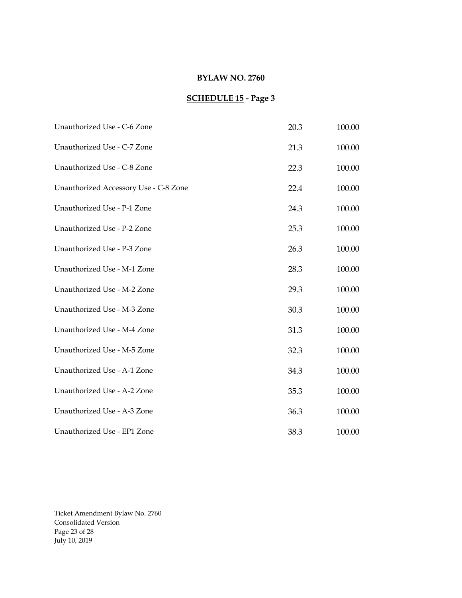# **SCHEDULE 15 - Page 3**

| Unauthorized Use - C-6 Zone           | 20.3 | 100.00 |
|---------------------------------------|------|--------|
| Unauthorized Use - C-7 Zone           | 21.3 | 100.00 |
| Unauthorized Use - C-8 Zone           | 22.3 | 100.00 |
| Unauthorized Accessory Use - C-8 Zone | 22.4 | 100.00 |
| Unauthorized Use - P-1 Zone           | 24.3 | 100.00 |
| Unauthorized Use - P-2 Zone           | 25.3 | 100.00 |
| Unauthorized Use - P-3 Zone           | 26.3 | 100.00 |
| Unauthorized Use - M-1 Zone           | 28.3 | 100.00 |
| Unauthorized Use - M-2 Zone           | 29.3 | 100.00 |
| Unauthorized Use - M-3 Zone           | 30.3 | 100.00 |
| Unauthorized Use - M-4 Zone           | 31.3 | 100.00 |
| Unauthorized Use - M-5 Zone           | 32.3 | 100.00 |
| Unauthorized Use - A-1 Zone           | 34.3 | 100.00 |
| Unauthorized Use - A-2 Zone           | 35.3 | 100.00 |
| Unauthorized Use - A-3 Zone           | 36.3 | 100.00 |
| Unauthorized Use - EP1 Zone           | 38.3 | 100.00 |

Ticket Amendment Bylaw No. 2760 Consolidated Version Page 23 of 28 July 10, 2019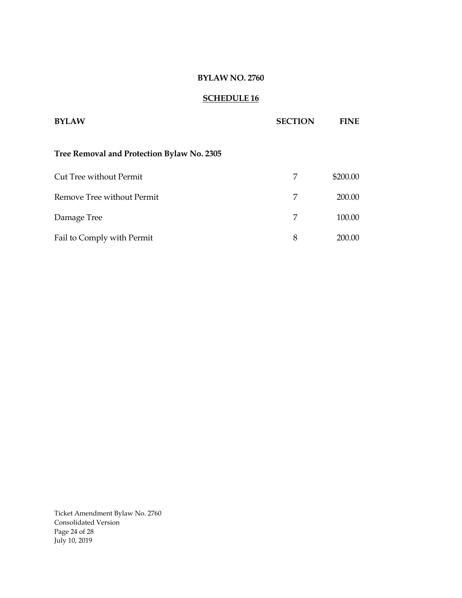# **SCHEDULE 16**

| <b>BYLAW</b>                               | <b>SECTION</b> | FINE     |
|--------------------------------------------|----------------|----------|
| Tree Removal and Protection Bylaw No. 2305 |                |          |
| Cut Tree without Permit                    | 7              | \$200.00 |
| Remove Tree without Permit                 | 7              | 200.00   |
| Damage Tree                                | 7              | 100.00   |
| Fail to Comply with Permit                 | 8              | 200.00   |

Ticket Amendment Bylaw No. 2760 Consolidated Version Page 24 of 28 July 10, 2019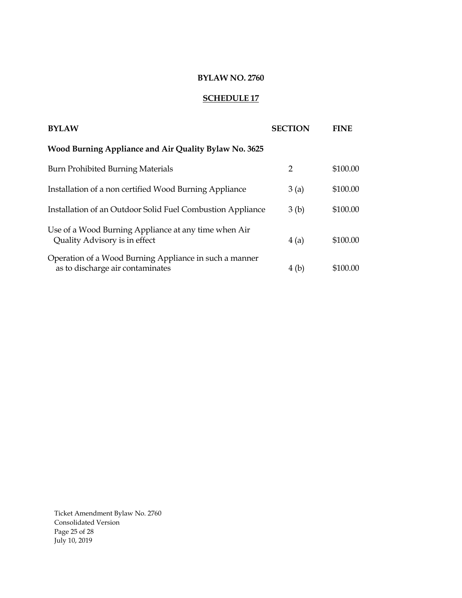# **SCHEDULE 17**

| <b>BYLAW</b>                                                                               | <b>SECTION</b>   | <b>FINE</b> |
|--------------------------------------------------------------------------------------------|------------------|-------------|
| Wood Burning Appliance and Air Quality Bylaw No. 3625                                      |                  |             |
| <b>Burn Prohibited Burning Materials</b>                                                   | 2                | \$100.00    |
| Installation of a non certified Wood Burning Appliance                                     | 3(a)             | \$100.00    |
| Installation of an Outdoor Solid Fuel Combustion Appliance                                 | 3 <sub>(b)</sub> | \$100.00    |
| Use of a Wood Burning Appliance at any time when Air<br>Quality Advisory is in effect      | 4(a)             | \$100.00    |
| Operation of a Wood Burning Appliance in such a manner<br>as to discharge air contaminates | 4 (b)            | \$100.00    |

Ticket Amendment Bylaw No. 2760 Consolidated Version Page 25 of 28 July 10, 2019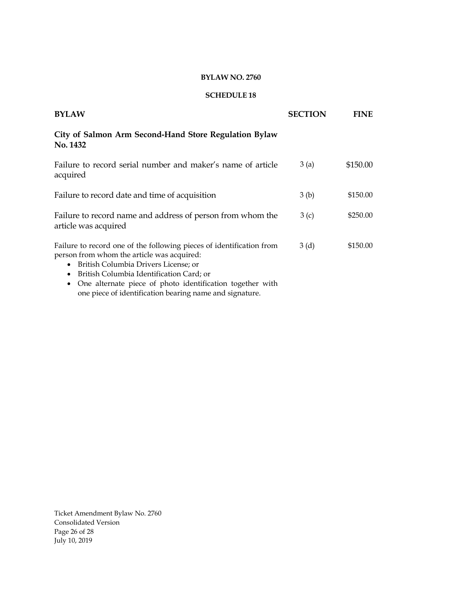#### **SCHEDULE 18**

| <b>BYLAW</b>                                                                                                                                                                                                                                                                                                                                                  | <b>SECTION</b>   | <b>FINE</b> |
|---------------------------------------------------------------------------------------------------------------------------------------------------------------------------------------------------------------------------------------------------------------------------------------------------------------------------------------------------------------|------------------|-------------|
| City of Salmon Arm Second-Hand Store Regulation Bylaw<br><b>No. 1432</b>                                                                                                                                                                                                                                                                                      |                  |             |
| Failure to record serial number and maker's name of article<br>acquired                                                                                                                                                                                                                                                                                       | 3(a)             | \$150.00    |
| Failure to record date and time of acquisition                                                                                                                                                                                                                                                                                                                | 3 <sub>(b)</sub> | \$150.00    |
| Failure to record name and address of person from whom the<br>article was acquired                                                                                                                                                                                                                                                                            | 3(c)             | \$250.00    |
| Failure to record one of the following pieces of identification from<br>person from whom the article was acquired:<br>British Columbia Drivers License; or<br>٠<br>British Columbia Identification Card; or<br>$\bullet$<br>One alternate piece of photo identification together with<br>$\bullet$<br>one piece of identification bearing name and signature. | 3(d)             | \$150.00    |

Ticket Amendment Bylaw No. 2760 Consolidated Version Page 26 of 28 July 10, 2019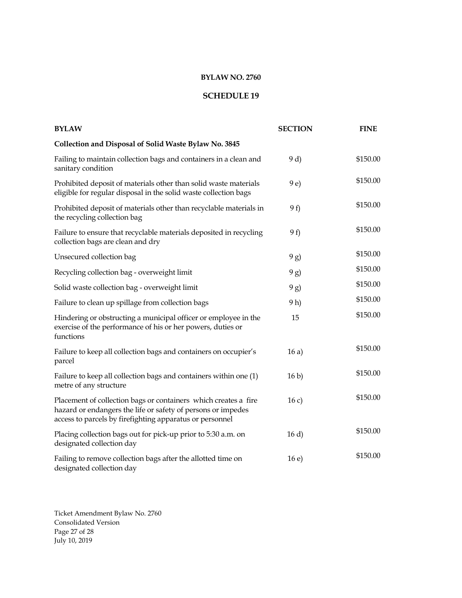#### **SCHEDULE 19**

| <b>BYLAW</b>                                                                                                                                                                                | <b>SECTION</b>  | <b>FINE</b> |
|---------------------------------------------------------------------------------------------------------------------------------------------------------------------------------------------|-----------------|-------------|
| Collection and Disposal of Solid Waste Bylaw No. 3845                                                                                                                                       |                 |             |
| Failing to maintain collection bags and containers in a clean and<br>sanitary condition                                                                                                     | 9d              | \$150.00    |
| Prohibited deposit of materials other than solid waste materials<br>eligible for regular disposal in the solid waste collection bags                                                        | 9 e)            | \$150.00    |
| Prohibited deposit of materials other than recyclable materials in<br>the recycling collection bag                                                                                          | 9f              | \$150.00    |
| Failure to ensure that recyclable materials deposited in recycling<br>collection bags are clean and dry                                                                                     | 9f)             | \$150.00    |
| Unsecured collection bag                                                                                                                                                                    | 9g)             | \$150.00    |
| Recycling collection bag - overweight limit                                                                                                                                                 | 9g)             | \$150.00    |
| Solid waste collection bag - overweight limit                                                                                                                                               | 9g)             | \$150.00    |
| Failure to clean up spillage from collection bags                                                                                                                                           | 9 h)            | \$150.00    |
| Hindering or obstructing a municipal officer or employee in the<br>exercise of the performance of his or her powers, duties or<br>functions                                                 | 15              | \$150.00    |
| Failure to keep all collection bags and containers on occupier's<br>parcel                                                                                                                  | 16a)            | \$150.00    |
| Failure to keep all collection bags and containers within one (1)<br>metre of any structure                                                                                                 | 16 <sub>b</sub> | \$150.00    |
| Placement of collection bags or containers which creates a fire<br>hazard or endangers the life or safety of persons or impedes<br>access to parcels by firefighting apparatus or personnel | 16c)            | \$150.00    |
| Placing collection bags out for pick-up prior to 5:30 a.m. on<br>designated collection day                                                                                                  | 16 d            | \$150.00    |
| Failing to remove collection bags after the allotted time on<br>designated collection day                                                                                                   | 16e)            | \$150.00    |

Ticket Amendment Bylaw No. 2760 Consolidated Version Page 27 of 28 July 10, 2019